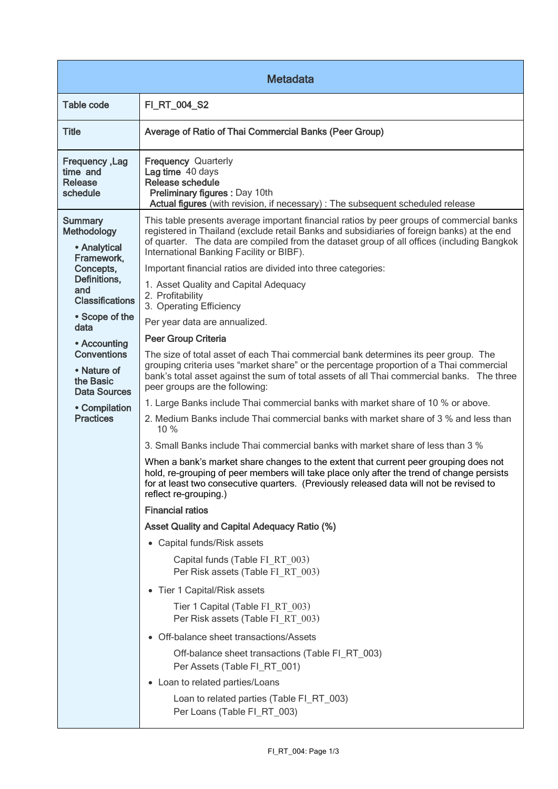| <b>Metadata</b>                                                                                                           |                                                                                                                                                                                                                                                                                                                                                                                                                                                                 |  |
|---------------------------------------------------------------------------------------------------------------------------|-----------------------------------------------------------------------------------------------------------------------------------------------------------------------------------------------------------------------------------------------------------------------------------------------------------------------------------------------------------------------------------------------------------------------------------------------------------------|--|
| <b>Table code</b>                                                                                                         | FI_RT_004_S2                                                                                                                                                                                                                                                                                                                                                                                                                                                    |  |
| <b>Title</b>                                                                                                              | Average of Ratio of Thai Commercial Banks (Peer Group)                                                                                                                                                                                                                                                                                                                                                                                                          |  |
| <b>Frequency, Lag</b><br>time and<br><b>Release</b><br>schedule                                                           | <b>Frequency Quarterly</b><br>Lag time 40 days<br>Release schedule<br>Preliminary figures : Day 10th<br>Actual figures (with revision, if necessary) : The subsequent scheduled release                                                                                                                                                                                                                                                                         |  |
| <b>Summary</b><br>Methodology<br>• Analytical<br>Framework.<br>Concepts,<br>Definitions,<br>and<br><b>Classifications</b> | This table presents average important financial ratios by peer groups of commercial banks<br>registered in Thailand (exclude retail Banks and subsidiaries of foreign banks) at the end<br>of quarter. The data are compiled from the dataset group of all offices (including Bangkok<br>International Banking Facility or BIBF).<br>Important financial ratios are divided into three categories:<br>1. Asset Quality and Capital Adequacy<br>2. Profitability |  |
| • Scope of the<br>data                                                                                                    | 3. Operating Efficiency<br>Per year data are annualized.                                                                                                                                                                                                                                                                                                                                                                                                        |  |
| • Accounting<br><b>Conventions</b><br>• Nature of<br>the Basic<br><b>Data Sources</b>                                     | <b>Peer Group Criteria</b><br>The size of total asset of each Thai commercial bank determines its peer group. The<br>grouping criteria uses "market share" or the percentage proportion of a Thai commercial<br>bank's total asset against the sum of total assets of all Thai commercial banks. The three<br>peer groups are the following:                                                                                                                    |  |
| • Compilation<br><b>Practices</b>                                                                                         | 1. Large Banks include Thai commercial banks with market share of 10 % or above.<br>2. Medium Banks include Thai commercial banks with market share of 3 % and less than<br>10 %<br>3. Small Banks include Thai commercial banks with market share of less than 3 %                                                                                                                                                                                             |  |
|                                                                                                                           | When a bank's market share changes to the extent that current peer grouping does not<br>hold, re-grouping of peer members will take place only after the trend of change persists<br>for at least two consecutive quarters. (Previously released data will not be revised to<br>reflect re-grouping.)                                                                                                                                                           |  |
|                                                                                                                           | <b>Financial ratios</b>                                                                                                                                                                                                                                                                                                                                                                                                                                         |  |
|                                                                                                                           | <b>Asset Quality and Capital Adequacy Ratio (%)</b>                                                                                                                                                                                                                                                                                                                                                                                                             |  |
|                                                                                                                           | • Capital funds/Risk assets                                                                                                                                                                                                                                                                                                                                                                                                                                     |  |
|                                                                                                                           | Capital funds (Table FI RT 003)<br>Per Risk assets (Table FI RT 003)                                                                                                                                                                                                                                                                                                                                                                                            |  |
|                                                                                                                           | • Tier 1 Capital/Risk assets                                                                                                                                                                                                                                                                                                                                                                                                                                    |  |
|                                                                                                                           | Tier 1 Capital (Table FI RT 003)<br>Per Risk assets (Table FI RT 003)                                                                                                                                                                                                                                                                                                                                                                                           |  |
|                                                                                                                           | • Off-balance sheet transactions/Assets                                                                                                                                                                                                                                                                                                                                                                                                                         |  |
|                                                                                                                           | Off-balance sheet transactions (Table FI_RT_003)<br>Per Assets (Table FI RT 001)                                                                                                                                                                                                                                                                                                                                                                                |  |
|                                                                                                                           | • Loan to related parties/Loans                                                                                                                                                                                                                                                                                                                                                                                                                                 |  |
|                                                                                                                           | Loan to related parties (Table FI_RT_003)<br>Per Loans (Table FI RT 003)                                                                                                                                                                                                                                                                                                                                                                                        |  |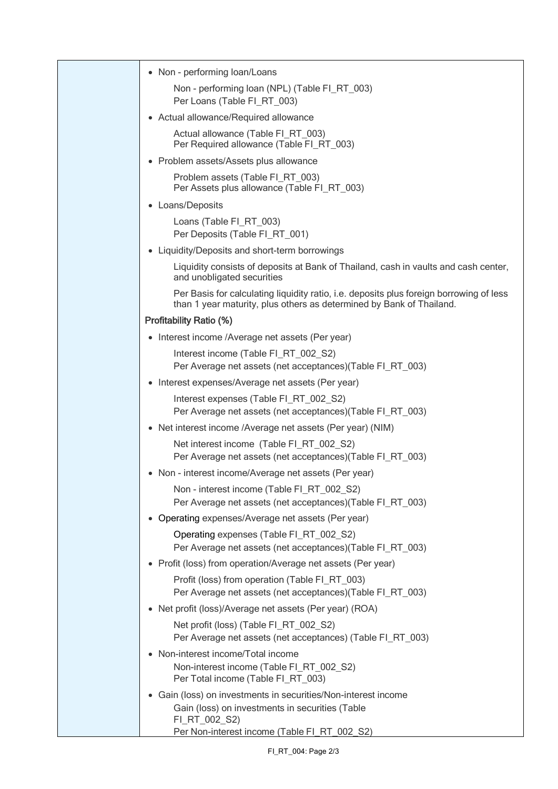| • Non - performing loan/Loans                                                                                                                                   |
|-----------------------------------------------------------------------------------------------------------------------------------------------------------------|
| Non - performing loan (NPL) (Table FI_RT_003)                                                                                                                   |
| Per Loans (Table FI_RT_003)                                                                                                                                     |
| • Actual allowance/Required allowance                                                                                                                           |
| Actual allowance (Table FI_RT_003)<br>Per Required allowance (Table FI_RT_003)                                                                                  |
| • Problem assets/Assets plus allowance                                                                                                                          |
| Problem assets (Table FI_RT_003)<br>Per Assets plus allowance (Table FI RT 003)                                                                                 |
| • Loans/Deposits                                                                                                                                                |
| Loans (Table FI_RT_003)<br>Per Deposits (Table FI_RT_001)                                                                                                       |
| • Liquidity/Deposits and short-term borrowings                                                                                                                  |
| Liquidity consists of deposits at Bank of Thailand, cash in vaults and cash center,<br>and unobligated securities                                               |
| Per Basis for calculating liquidity ratio, i.e. deposits plus foreign borrowing of less<br>than 1 year maturity, plus others as determined by Bank of Thailand. |
| <b>Profitability Ratio (%)</b>                                                                                                                                  |
| Interest income /Average net assets (Per year)<br>$\bullet$                                                                                                     |
| Interest income (Table FI_RT_002_S2)<br>Per Average net assets (net acceptances)(Table FI_RT_003)                                                               |
| Interest expenses/Average net assets (Per year)<br>$\bullet$                                                                                                    |
| Interest expenses (Table FI_RT_002_S2)<br>Per Average net assets (net acceptances)(Table FI_RT_003)                                                             |
| • Net interest income /Average net assets (Per year) (NIM)                                                                                                      |
| Net interest income (Table FI_RT_002_S2)<br>Per Average net assets (net acceptances)(Table FI_RT_003)                                                           |
| Non - interest income/Average net assets (Per year)                                                                                                             |
| Non - interest income (Table FI_RT_002_S2)<br>Per Average net assets (net acceptances)(Table FI_RT_003)                                                         |
| • Operating expenses/Average net assets (Per year)                                                                                                              |
| Operating expenses (Table FI_RT_002_S2)<br>Per Average net assets (net acceptances) (Table FI_RT_003)                                                           |
| • Profit (loss) from operation/Average net assets (Per year)                                                                                                    |
| Profit (loss) from operation (Table FI_RT_003)<br>Per Average net assets (net acceptances)(Table FI_RT_003)                                                     |
| • Net profit (loss)/Average net assets (Per year) (ROA)                                                                                                         |
| Net profit (loss) (Table FI_RT_002_S2)<br>Per Average net assets (net acceptances) (Table FI_RT_003)                                                            |
| Non-interest income/Total income                                                                                                                                |
| Non-interest income (Table FI_RT_002_S2)<br>Per Total income (Table FI_RT_003)                                                                                  |
| • Gain (loss) on investments in securities/Non-interest income<br>Gain (loss) on investments in securities (Table<br>FI_RT_002_S2)                              |
| Per Non-interest income (Table FI RT 002 S2)                                                                                                                    |